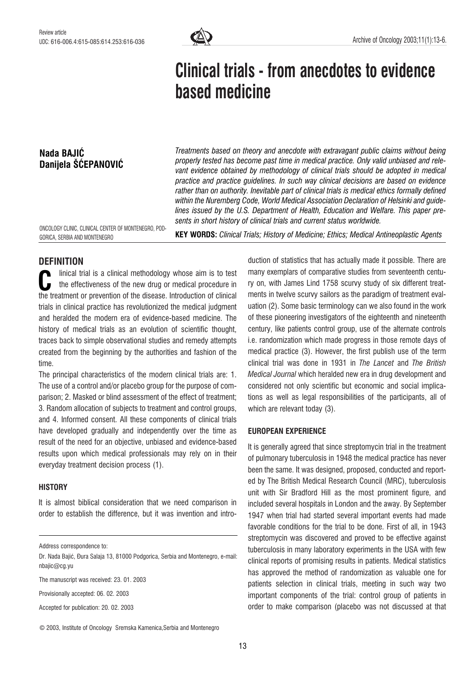

# Clinical trials - from anecdotes to evidence based medicine

# Nada BAJIÆ Danijela ŠĆEPANOVIĆ

Treatments based on theory and anecdote with extravagant public claims without being properly tested has become past time in medical practice. Only valid unbiased and relevant evidence obtained by methodology of clinical trials should be adopted in medical practice and practice guidelines. In such way clinical decisions are based on evidence rather than on authority. Inevitable part of clinical trials is medical ethics formally defined within the Nuremberg Code, World Medical Association Declaration of Helsinki and guidelines issued by the U.S. Department of Health, Education and Welfare. This paper presents in short history of clinical trials and current status worldwide.

ONCOLOGY CLINIC, CLINICAL CENTER OF MONTENEGRO, POD-GORICA, SERBIA AND MONTENEGRO

KEY WORDS: Clinical Trials; History of Medicine; Ethics; Medical Antineoplastic Agents

# **DEFINITION**

linical trial is a clinical methodology whose aim is to test the effectiveness of the new drug or medical procedure in Inical trial is a clinical methodology whose aim is to test<br>the effectiveness of the new drug or medical procedure in<br>the treatment or prevention of the disease. Introduction of clinical trials in clinical practice has revolutionized the medical judgment and heralded the modern era of evidence-based medicine. The history of medical trials as an evolution of scientific thought, traces back to simple observational studies and remedy attempts created from the beginning by the authorities and fashion of the time.

The principal characteristics of the modern clinical trials are: 1. The use of a control and/or placebo group for the purpose of comparison; 2. Masked or blind assessment of the effect of treatment; 3. Random allocation of subjects to treatment and control groups, and 4. Informed consent. All these components of clinical trials have developed gradually and independently over the time as result of the need for an objective, unbiased and evidence-based results upon which medical professionals may rely on in their everyday treatment decision process (1).

#### **HISTORY**

It is almost biblical consideration that we need comparison in order to establish the difference, but it was invention and intro-

Address correspondence to:

The manuscript was received: 23. 01. 2003

Provisionally accepted: 06. 02. 2003

Accepted for publication: 20. 02. 2003

© 2003, Institute of Oncology Sremska Kamenica,Serbia and Montenegro

duction of statistics that has actually made it possible. There are many exemplars of comparative studies from seventeenth century on, with James Lind 1758 scurvy study of six different treatments in twelve scurvy sailors as the paradigm of treatment evaluation (2). Some basic terminology can we also found in the work of these pioneering investigators of the eighteenth and nineteenth century, like patients control group, use of the alternate controls i.e. randomization which made progress in those remote days of medical practice (3). However, the first publish use of the term clinical trial was done in 1931 in The Lancet and The British Medical Journal which heralded new era in drug development and considered not only scientific but economic and social implications as well as legal responsibilities of the participants, all of which are relevant today (3).

#### EUROPEAN EXPERIENCE

It is generally agreed that since streptomycin trial in the treatment of pulmonary tuberculosis in 1948 the medical practice has never been the same. It was designed, proposed, conducted and reported by The British Medical Research Council (MRC), tuberculosis unit with Sir Bradford Hill as the most prominent figure, and included several hospitals in London and the away. By September 1947 when trial had started several important events had made favorable conditions for the trial to be done. First of all, in 1943 streptomycin was discovered and proved to be effective against tuberculosis in many laboratory experiments in the USA with few clinical reports of promising results in patients. Medical statistics has approved the method of randomization as valuable one for patients selection in clinical trials, meeting in such way two important components of the trial: control group of patients in order to make comparison (placebo was not discussed at that

Dr. Nada Bajić, Đura Salaja 13, 81000 Podgorica, Serbia and Montenegro, e-mail: nbajic@cg.yu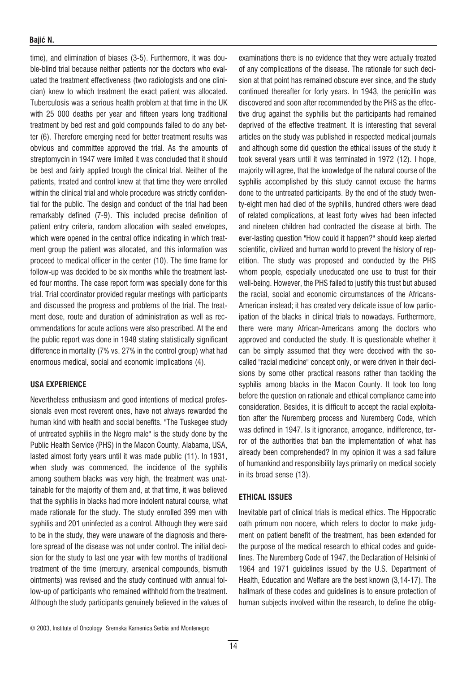#### Bajić N.

time), and elimination of biases (3-5). Furthermore, it was double-blind trial because neither patients nor the doctors who evaluated the treatment effectiveness (two radiologists and one clinician) knew to which treatment the exact patient was allocated. Tuberculosis was a serious health problem at that time in the UK with 25 000 deaths per year and fifteen years long traditional treatment by bed rest and gold compounds failed to do any better (6). Therefore emerging need for better treatment results was obvious and committee approved the trial. As the amounts of streptomycin in 1947 were limited it was concluded that it should be best and fairly applied trough the clinical trial. Neither of the patients, treated and control knew at that time they were enrolled within the clinical trial and whole procedure was strictly confidential for the public. The design and conduct of the trial had been remarkably defined (7-9). This included precise definition of patient entry criteria, random allocation with sealed envelopes, which were opened in the central office indicating in which treatment group the patient was allocated, and this information was proceed to medical officer in the center (10). The time frame for follow-up was decided to be six months while the treatment lasted four months. The case report form was specially done for this trial. Trial coordinator provided regular meetings with participants and discussed the progress and problems of the trial. The treatment dose, route and duration of administration as well as recommendations for acute actions were also prescribed. At the end the public report was done in 1948 stating statistically significant difference in mortality (7% vs. 27% in the control group) what had enormous medical, social and economic implications (4).

## USA EXPERIENCE

Nevertheless enthusiasm and good intentions of medical professionals even most reverent ones, have not always rewarded the human kind with health and social benefits. "The Tuskegee study of untreated syphilis in the Negro male" is the study done by the Public Health Service (PHS) in the Macon County, Alabama, USA, lasted almost forty years until it was made public (11). In 1931, when study was commenced, the incidence of the syphilis among southern blacks was very high, the treatment was unattainable for the majority of them and, at that time, it was believed that the syphilis in blacks had more indolent natural course, what made rationale for the study. The study enrolled 399 men with syphilis and 201 uninfected as a control. Although they were said to be in the study, they were unaware of the diagnosis and therefore spread of the disease was not under control. The initial decision for the study to last one year with few months of traditional treatment of the time (mercury, arsenical compounds, bismuth ointments) was revised and the study continued with annual follow-up of participants who remained withhold from the treatment. Although the study participants genuinely believed in the values of

examinations there is no evidence that they were actually treated of any complications of the disease. The rationale for such decision at that point has remained obscure ever since, and the study continued thereafter for forty years. In 1943, the penicillin was discovered and soon after recommended by the PHS as the effective drug against the syphilis but the participants had remained deprived of the effective treatment. It is interesting that several articles on the study was published in respected medical journals and although some did question the ethical issues of the study it took several years until it was terminated in 1972 (12). I hope, majority will agree, that the knowledge of the natural course of the syphilis accomplished by this study cannot excuse the harms done to the untreated participants. By the end of the study twenty-eight men had died of the syphilis, hundred others were dead of related complications, at least forty wives had been infected and nineteen children had contracted the disease at birth. The ever-lasting question "How could it happen?" should keep alerted scientific, civilized and human world to prevent the history of repetition. The study was proposed and conducted by the PHS whom people, especially uneducated one use to trust for their well-being. However, the PHS failed to justify this trust but abused the racial, social and economic circumstances of the Africans-American instead; it has created very delicate issue of low participation of the blacks in clinical trials to nowadays. Furthermore, there were many African-Americans among the doctors who approved and conducted the study. It is questionable whether it can be simply assumed that they were deceived with the socalled "racial medicine" concept only, or were driven in their decisions by some other practical reasons rather than tackling the syphilis among blacks in the Macon County. It took too long before the question on rationale and ethical compliance came into consideration. Besides, it is difficult to accept the racial exploitation after the Nuremberg process and Nuremberg Code, which was defined in 1947. Is it ignorance, arrogance, indifference, terror of the authorities that ban the implementation of what has already been comprehended? In my opinion it was a sad failure of humankind and responsibility lays primarily on medical society in its broad sense (13).

## ETHICAL ISSUES

Inevitable part of clinical trials is medical ethics. The Hippocratic oath primum non nocere, which refers to doctor to make judgment on patient benefit of the treatment, has been extended for the purpose of the medical research to ethical codes and guidelines. The Nuremberg Code of 1947, the Declaration of Helsinki of 1964 and 1971 guidelines issued by the U.S. Department of Health, Education and Welfare are the best known (3,14-17). The hallmark of these codes and guidelines is to ensure protection of human subjects involved within the research, to define the oblig-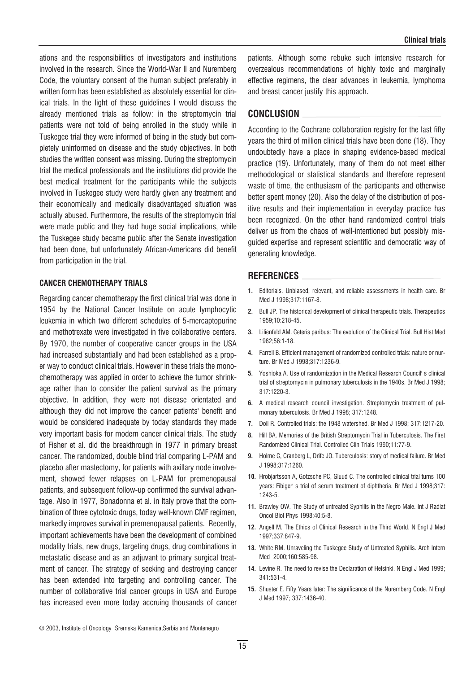ations and the responsibilities of investigators and institutions involved in the research. Since the World-War II and Nuremberg Code, the voluntary consent of the human subject preferably in written form has been established as absolutely essential for clinical trials. In the light of these guidelines I would discuss the already mentioned trials as follow: in the streptomycin trial patients were not told of being enrolled in the study while in Tuskegee trial they were informed of being in the study but completely uninformed on disease and the study objectives. In both studies the written consent was missing. During the streptomycin trial the medical professionals and the institutions did provide the best medical treatment for the participants while the subjects involved in Tuskegee study were hardly given any treatment and their economically and medically disadvantaged situation was actually abused. Furthermore, the results of the streptomycin trial were made public and they had huge social implications, while the Tuskegee study became public after the Senate investigation had been done, but unfortunately African-Americans did benefit from participation in the trial.

#### CANCER CHEMOTHERAPY TRIALS

Regarding cancer chemotherapy the first clinical trial was done in 1954 by the National Cancer Institute on acute lymphocytic leukemia in which two different schedules of 5-mercaptopurine and methotrexate were investigated in five collaborative centers. By 1970, the number of cooperative cancer groups in the USA had increased substantially and had been established as a proper way to conduct clinical trials. However in these trials the monochemotherapy was applied in order to achieve the tumor shrinkage rather than to consider the patient survival as the primary objective. In addition, they were not disease orientated and although they did not improve the cancer patients' benefit and would be considered inadequate by today standards they made very important basis for modern cancer clinical trials. The study of Fisher et al. did the breakthrough in 1977 in primary breast cancer. The randomized, double blind trial comparing L-PAM and placebo after mastectomy, for patients with axillary node involvement, showed fewer relapses on L-PAM for premenopausal patients, and subsequent follow-up confirmed the survival advantage. Also in 1977, Bonadonna et al. in Italy prove that the combination of three cytotoxic drugs, today well-known CMF regimen, markedly improves survival in premenopausal patients. Recently, important achievements have been the development of combined modality trials, new drugs, targeting drugs, drug combinations in metastatic disease and as an adjuvant to primary surgical treatment of cancer. The strategy of seeking and destroying cancer has been extended into targeting and controlling cancer. The number of collaborative trial cancer groups in USA and Europe has increased even more today accruing thousands of cancer

patients. Although some rebuke such intensive research for overzealous recommendations of highly toxic and marginally effective regimens, the clear advances in leukemia, lymphoma and breast cancer justify this approach.

## CONCLUSION

According to the Cochrane collaboration registry for the last fifty years the third of million clinical trials have been done (18). They undoubtedly have a place in shaping evidence-based medical practice (19). Unfortunately, many of them do not meet either methodological or statistical standards and therefore represent waste of time, the enthusiasm of the participants and otherwise better spent money (20). Also the delay of the distribution of positive results and their implementation in everyday practice has been recognized. On the other hand randomized control trials deliver us from the chaos of well-intentioned but possibly misguided expertise and represent scientific and democratic way of generating knowledge.

# REFERENCES

- 1. Editorials. Unbiased, relevant, and reliable assessments in health care. Br Med J 1998;317:1167-8.
- 2. Bull JP. The historical development of clinical therapeutic trials. Therapeutics 1959;10:218-45.
- 3. Lilienfeld AM. Ceteris paribus: The evolution of the Clinical Trial. Bull Hist Med 1982;56:1-18.
- 4. Farrell B. Efficient management of randomized controlled trials: nature or nurture. Br Med J 1998;317:1236-9.
- 5. Yoshioka A. Use of randomization in the Medical Research Council' s clinical trial of streptomycin in pulmonary tuberculosis in the 1940s. Br Med J 1998; 317:1220-3.
- 6. A medical research council investigation. Streptomycin treatment of pulmonary tuberculosis. Br Med J 1998; 317:1248.
- 7. Doll R. Controlled trials: the 1948 watershed. Br Med J 1998; 317:1217-20.
- 8. Hill BA. Memories of the British Streptomycin Trial in Tuberculosis. The First Randomized Clinical Trial. Controlled Clin Trials 1990;11:77-9.
- 9. Holme C, Cranberg L, Drife JO. Tuberculosis: story of medical failure. Br Med J 1998;317:1260.
- 10. Hrobjartsson A, Gotzsche PC, Gluud C. The controlled clinical trial turns 100 years: Fibiger' s trial of serum treatment of diphtheria. Br Med J 1998;317: 1243-5.
- 11. Brawley OW. The Study of untreated Syphilis in the Negro Male. Int J Radiat Oncol Biol Phys 1998;40:5-8.
- 12. Angell M. The Ethics of Clinical Research in the Third World. N Engl J Med 1997;337:847-9.
- 13. White RM. Unraveling the Tuskegee Study of Untreated Syphilis. Arch Intern Med 2000:160:585-98.
- 14. Levine R. The need to revise the Declaration of Helsinki. N Engl J Med 1999; 341:531-4.
- 15. Shuster E. Fifty Years later: The significance of the Nuremberg Code. N Engl J Med 1997; 337:1436-40.